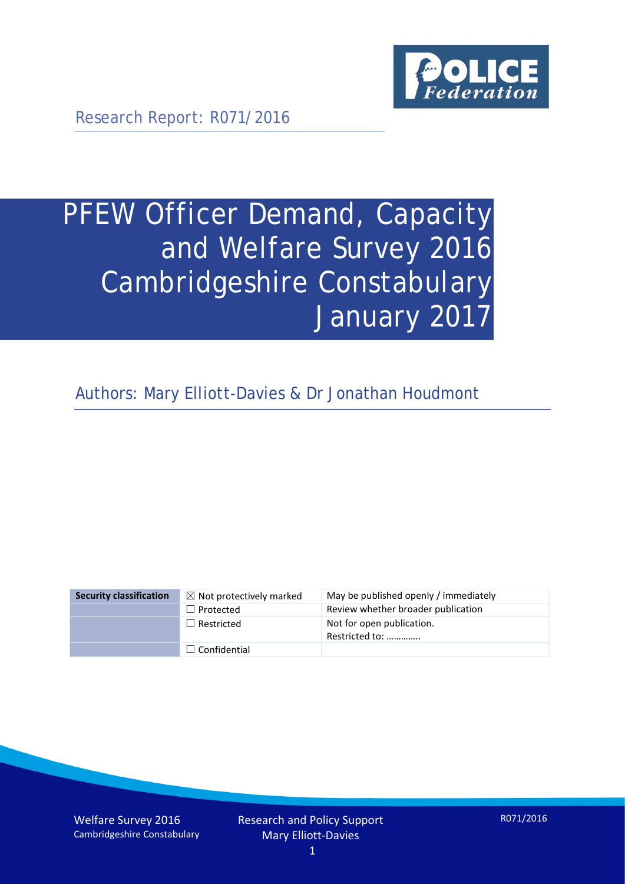

Research Report: R071/2016

# PFEW Officer Demand, Capacity and Welfare Survey 2016 Cambridgeshire Constabulary January 2017

Authors: Mary Elliott-Davies & Dr Jonathan Houdmont

| <b>Security classification</b> | $\boxtimes$ Not protectively marked | May be published openly / immediately       |
|--------------------------------|-------------------------------------|---------------------------------------------|
|                                | $\Box$ Protected                    | Review whether broader publication          |
|                                | $\Box$ Restricted                   | Not for open publication.<br>Restricted to: |
|                                | $\Box$ Confidential                 |                                             |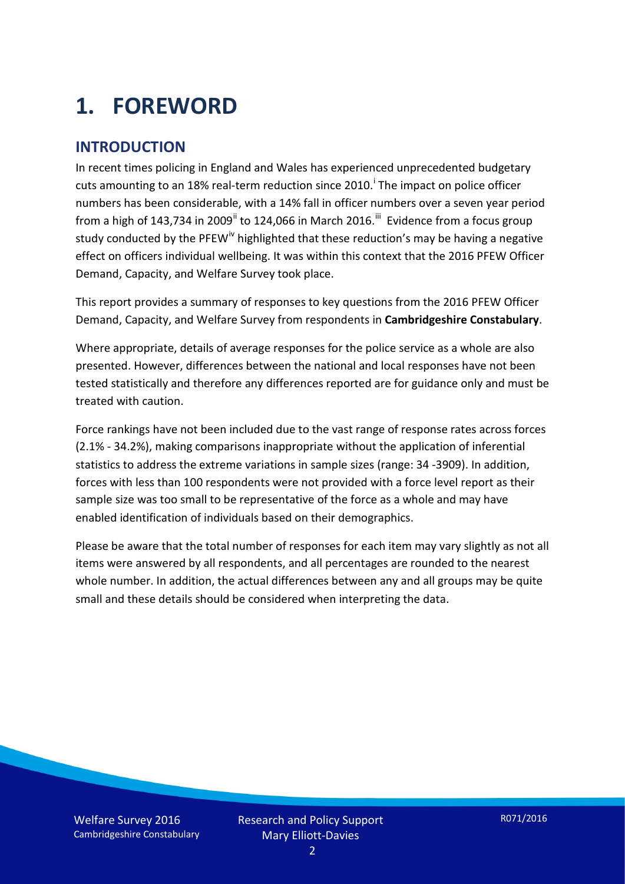# **1. FOREWORD**

#### **INTRODUCTION**

In recent times policing in England and Wales has experienced unprecedented budgetary cuts amount[i](#page-15-0)ng to an 18% real-term reduction since 2010.<sup>1</sup> The impact on police officer numbers has been considerable, with a 14% fall in officer numbers over a seven year period from a high of 143,734 in 2009<sup>[ii](#page-15-1)</sup> to 124,066 in March 2016.<sup>[iii](#page-15-2)</sup> Evidence from a focus group study conducted by the PFEW<sup>[iv](#page-15-3)</sup> highlighted that these reduction's may be having a negative effect on officers individual wellbeing. It was within this context that the 2016 PFEW Officer Demand, Capacity, and Welfare Survey took place.

This report provides a summary of responses to key questions from the 2016 PFEW Officer Demand, Capacity, and Welfare Survey from respondents in **Cambridgeshire Constabulary**.

Where appropriate, details of average responses for the police service as a whole are also presented. However, differences between the national and local responses have not been tested statistically and therefore any differences reported are for guidance only and must be treated with caution.

Force rankings have not been included due to the vast range of response rates across forces (2.1% - 34.2%), making comparisons inappropriate without the application of inferential statistics to address the extreme variations in sample sizes (range: 34 -3909). In addition, forces with less than 100 respondents were not provided with a force level report as their sample size was too small to be representative of the force as a whole and may have enabled identification of individuals based on their demographics.

Please be aware that the total number of responses for each item may vary slightly as not all items were answered by all respondents, and all percentages are rounded to the nearest whole number. In addition, the actual differences between any and all groups may be quite small and these details should be considered when interpreting the data.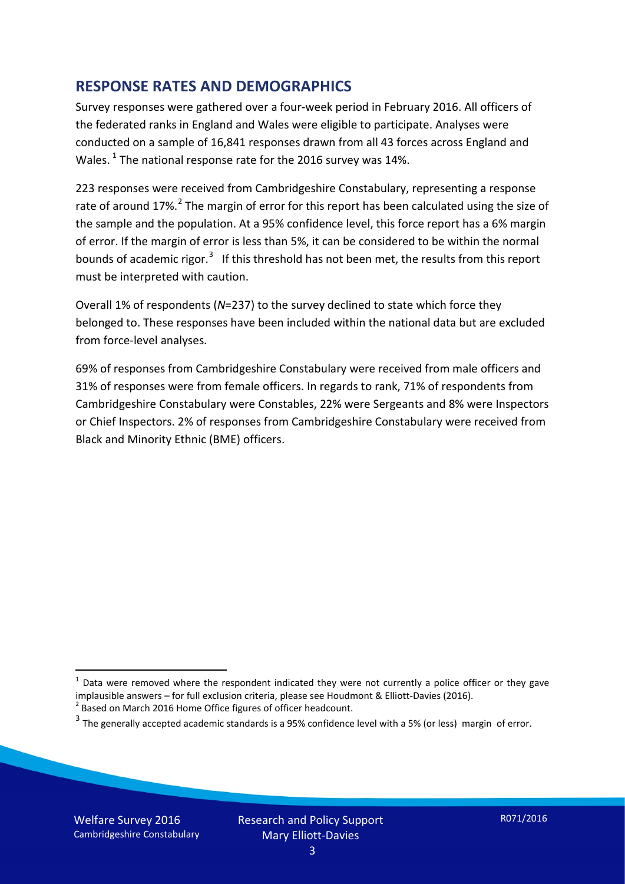#### **RESPONSE RATES AND DEMOGRAPHICS**

Survey responses were gathered over a four-week period in February 2016. All officers of the federated ranks in England and Wales were eligible to participate. Analyses were conducted on a sample of 16,841 responses drawn from all 43 forces across England and Wales.  $^1$  $^1$  The national response rate for the 2016 survey was 14%.

223 responses were received from Cambridgeshire Constabulary, representing a response rate of around 17%.<sup>[2](#page-2-1)</sup> The margin of error for this report has been calculated using the size of the sample and the population. At a 95% confidence level, this force report has a 6% margin of error. If the margin of error is less than 5%, it can be considered to be within the normal bounds of academic rigor.<sup>[3](#page-2-2)</sup> If this threshold has not been met, the results from this report must be interpreted with caution.

Overall 1% of respondents (*N*=237) to the survey declined to state which force they belonged to. These responses have been included within the national data but are excluded from force-level analyses.

69% of responses from Cambridgeshire Constabulary were received from male officers and 31% of responses were from female officers. In regards to rank, 71% of respondents from Cambridgeshire Constabulary were Constables, 22% were Sergeants and 8% were Inspectors or Chief Inspectors. 2% of responses from Cambridgeshire Constabulary were received from Black and Minority Ethnic (BME) officers.

-

<span id="page-2-0"></span> $1$  Data were removed where the respondent indicated they were not currently a police officer or they gave implausible answers – for full exclusion criteria, please see Houdmont & Elliott-Davies (2016).<br><sup>2</sup> Based on March 2016 Home Office figures of officer headcount.

<span id="page-2-1"></span>

<span id="page-2-2"></span> $3$  The generally accepted academic standards is a 95% confidence level with a 5% (or less) margin of error.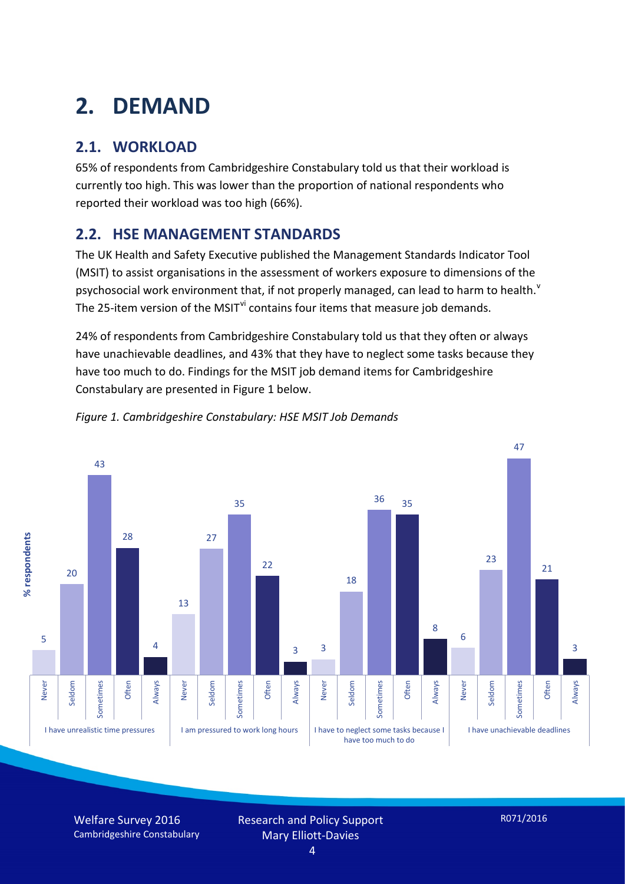# **2. DEMAND**

### **2.1. WORKLOAD**

65% of respondents from Cambridgeshire Constabulary told us that their workload is currently too high. This was lower than the proportion of national respondents who reported their workload was too high (66%).

#### **2.2. HSE MANAGEMENT STANDARDS**

The UK Health and Safety Executive published the Management Standards Indicator Tool (MSIT) to assist organisations in the assessment of workers exposure to dimensions of the psychosocial work en[v](#page-15-4)ironment that, if not properly managed, can lead to harm to health.<sup>v</sup> The 25-item version of the MSIT<sup>[vi](#page-15-5)</sup> contains four items that measure job demands.

24% of respondents from Cambridgeshire Constabulary told us that they often or always have unachievable deadlines, and 43% that they have to neglect some tasks because they have too much to do. Findings for the MSIT job demand items for Cambridgeshire Constabulary are presented in Figure 1 below.



*Figure 1. Cambridgeshire Constabulary: HSE MSIT Job Demands*

Welfare Survey 2016 Cambridgeshire Constabulary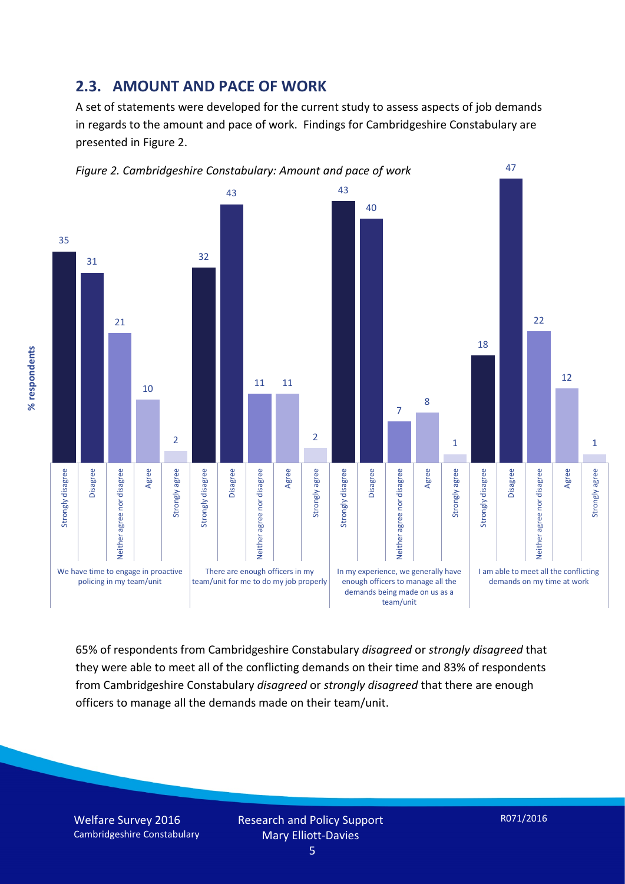#### **2.3. AMOUNT AND PACE OF WORK**

A set of statements were developed for the current study to assess aspects of job demands in regards to the amount and pace of work. Findings for Cambridgeshire Constabulary are presented in Figure 2.



65% of respondents from Cambridgeshire Constabulary *disagreed* or *strongly disagreed* that they were able to meet all of the conflicting demands on their time and 83% of respondents from Cambridgeshire Constabulary *disagreed* or *strongly disagreed* that there are enough officers to manage all the demands made on their team/unit.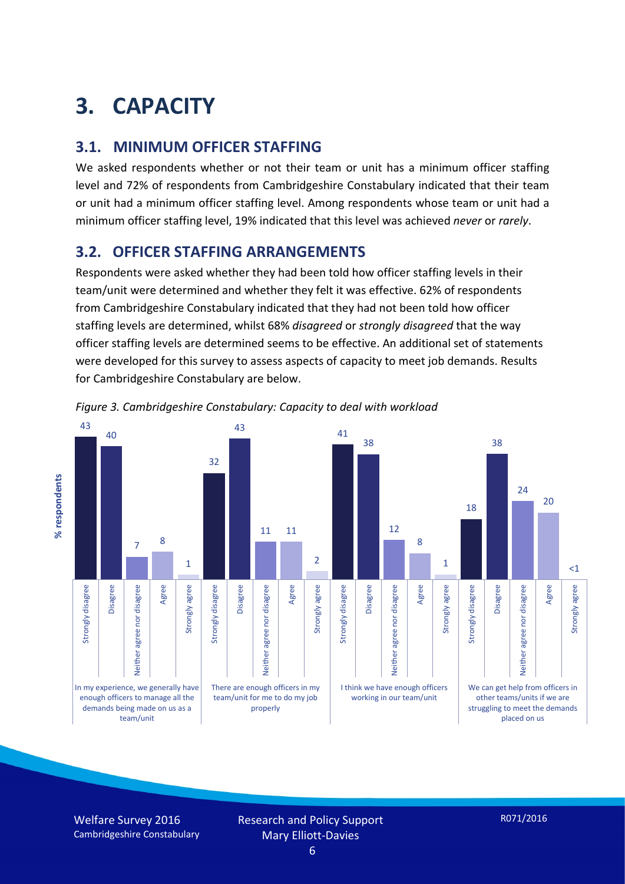# **3. CAPACITY**

#### **3.1. MINIMUM OFFICER STAFFING**

We asked respondents whether or not their team or unit has a minimum officer staffing level and 72% of respondents from Cambridgeshire Constabulary indicated that their team or unit had a minimum officer staffing level. Among respondents whose team or unit had a minimum officer staffing level, 19% indicated that this level was achieved *never* or *rarely*.

#### **3.2. OFFICER STAFFING ARRANGEMENTS**

Respondents were asked whether they had been told how officer staffing levels in their team/unit were determined and whether they felt it was effective. 62% of respondents from Cambridgeshire Constabulary indicated that they had not been told how officer staffing levels are determined, whilst 68% *disagreed* or *strongly disagreed* that the way officer staffing levels are determined seems to be effective. An additional set of statements were developed for this survey to assess aspects of capacity to meet job demands. Results for Cambridgeshire Constabulary are below.



*Figure 3. Cambridgeshire Constabulary: Capacity to deal with workload*

Welfare Survey 2016 Cambridgeshire Constabulary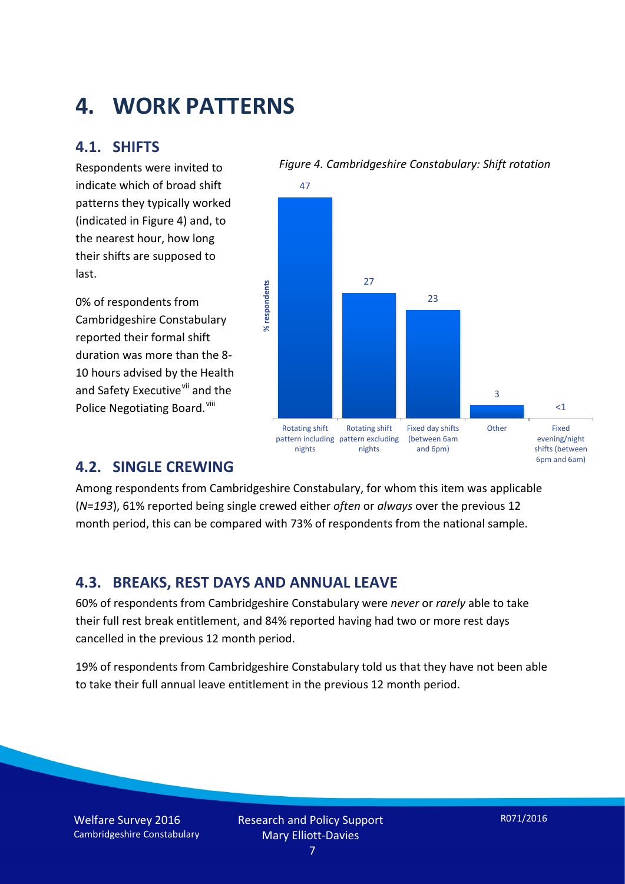## **4. WORK PATTERNS**

#### **4.1. SHIFTS**

Respondents were invited to indicate which of broad shift patterns they typically worked (indicated in Figure 4) and, to the nearest hour, how long their shifts are supposed to last.

0% of respondents from Cambridgeshire Constabulary reported their formal shift duration was more than the 8- 10 hours advised by the Health and Safety Executive<sup>[vii](#page-15-6)</sup> and the Police Negotiating Board.<sup>[viii](#page-15-7)</sup>

#### *Figure 4. Cambridgeshire Constabulary: Shift rotation*



#### **4.2. SINGLE CREWING**

Among respondents from Cambridgeshire Constabulary, for whom this item was applicable (*N*=*193*), 61% reported being single crewed either *often* or *always* over the previous 12 month period, this can be compared with 73% of respondents from the national sample.

#### **4.3. BREAKS, REST DAYS AND ANNUAL LEAVE**

60% of respondents from Cambridgeshire Constabulary were *never* or *rarely* able to take their full rest break entitlement, and 84% reported having had two or more rest days cancelled in the previous 12 month period.

19% of respondents from Cambridgeshire Constabulary told us that they have not been able to take their full annual leave entitlement in the previous 12 month period.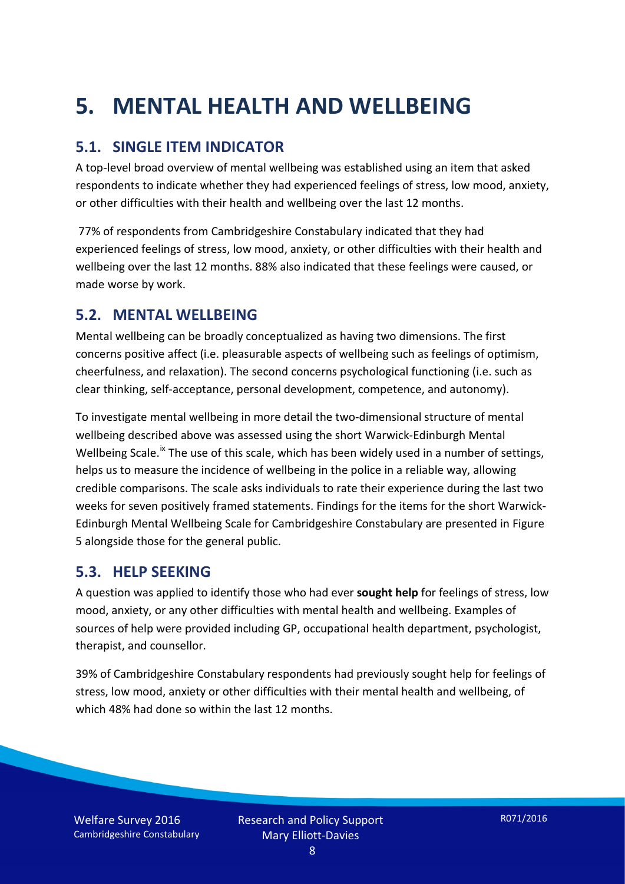# **5. MENTAL HEALTH AND WELLBEING**

#### **5.1. SINGLE ITEM INDICATOR**

A top-level broad overview of mental wellbeing was established using an item that asked respondents to indicate whether they had experienced feelings of stress, low mood, anxiety, or other difficulties with their health and wellbeing over the last 12 months.

77% of respondents from Cambridgeshire Constabulary indicated that they had experienced feelings of stress, low mood, anxiety, or other difficulties with their health and wellbeing over the last 12 months. 88% also indicated that these feelings were caused, or made worse by work.

#### **5.2. MENTAL WELLBEING**

Mental wellbeing can be broadly conceptualized as having two dimensions. The first concerns positive affect (i.e. pleasurable aspects of wellbeing such as feelings of optimism, cheerfulness, and relaxation). The second concerns psychological functioning (i.e. such as clear thinking, self-acceptance, personal development, competence, and autonomy).

To investigate mental wellbeing in more detail the two-dimensional structure of mental wellbeing described above was assessed using the short Warwick-Edinburgh Mental Wellbeing Scale.<sup>[ix](#page-15-8)</sup> The use of this scale, which has been widely used in a number of settings, helps us to measure the incidence of wellbeing in the police in a reliable way, allowing credible comparisons. The scale asks individuals to rate their experience during the last two weeks for seven positively framed statements. Findings for the items for the short Warwick-Edinburgh Mental Wellbeing Scale for Cambridgeshire Constabulary are presented in Figure 5 alongside those for the general public.

#### **5.3. HELP SEEKING**

A question was applied to identify those who had ever **sought help** for feelings of stress, low mood, anxiety, or any other difficulties with mental health and wellbeing. Examples of sources of help were provided including GP, occupational health department, psychologist, therapist, and counsellor.

39% of Cambridgeshire Constabulary respondents had previously sought help for feelings of stress, low mood, anxiety or other difficulties with their mental health and wellbeing, of which 48% had done so within the last 12 months.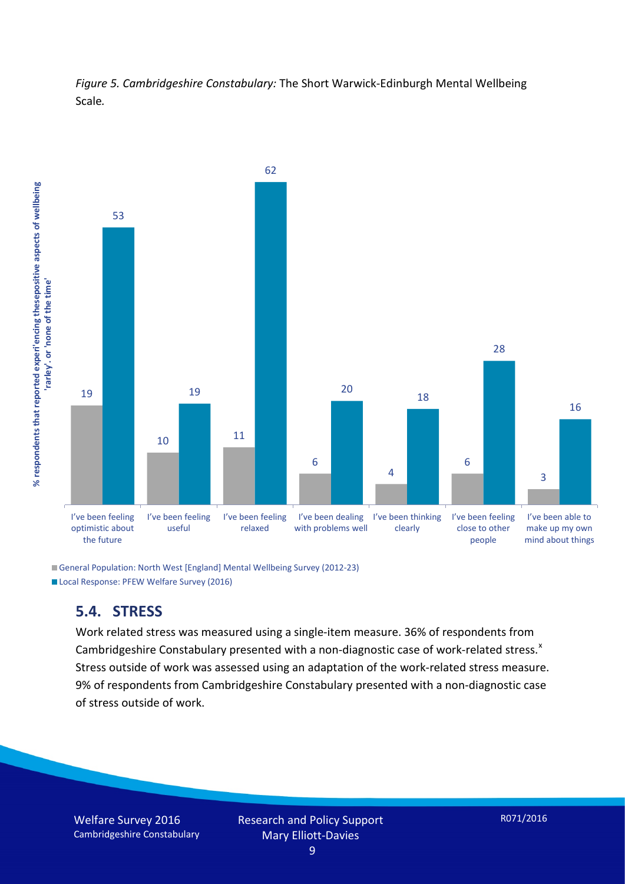



General Population: North West [England] Mental Wellbeing Survey (2012-23) Local Response: PFEW Welfare Survey (2016)

#### **5.4. STRESS**

Work related stress was measured using a single-item measure. 36% of respondents from Cambridgeshire Constabulary presented with a non-diagnostic case of work-related stress.<sup>[x](#page-15-9)</sup> Stress outside of work was assessed using an adaptation of the work-related stress measure. 9% of respondents from Cambridgeshire Constabulary presented with a non-diagnostic case of stress outside of work.

Welfare Survey 2016 Cambridgeshire Constabulary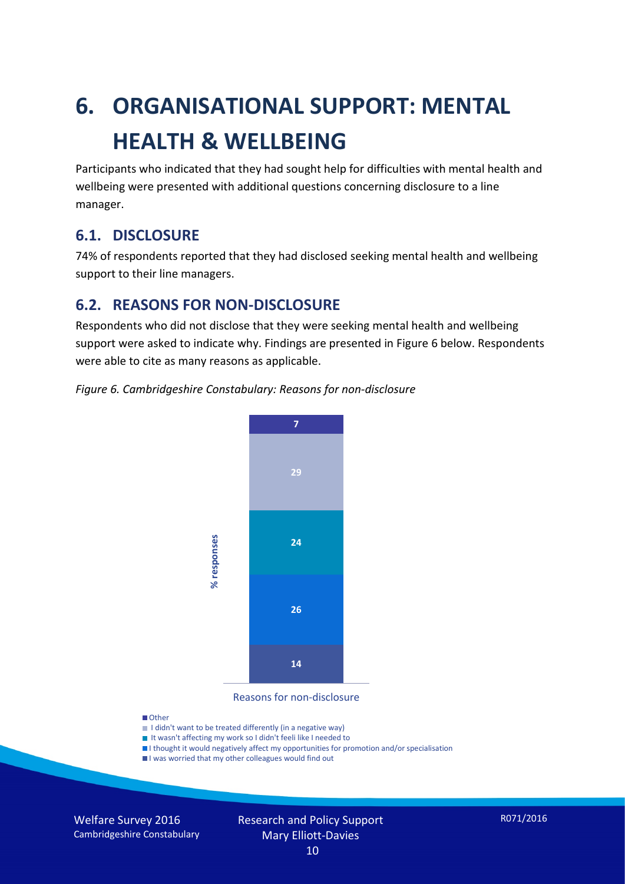# **6. ORGANISATIONAL SUPPORT: MENTAL HEALTH & WELLBEING**

Participants who indicated that they had sought help for difficulties with mental health and wellbeing were presented with additional questions concerning disclosure to a line manager.

#### **6.1. DISCLOSURE**

74% of respondents reported that they had disclosed seeking mental health and wellbeing support to their line managers.

#### **6.2. REASONS FOR NON-DISCLOSURE**

Respondents who did not disclose that they were seeking mental health and wellbeing support were asked to indicate why. Findings are presented in Figure 6 below. Respondents were able to cite as many reasons as applicable.





Reasons for non-disclosure

#### **D**Other

- I didn't want to be treated differently (in a negative way)
- I It wasn't affecting my work so I didn't feeli like I needed to
- I thought it would negatively affect my opportunities for promotion and/or specialisation
- I was worried that my other colleagues would find out

Welfare Survey 2016 Cambridgeshire Constabulary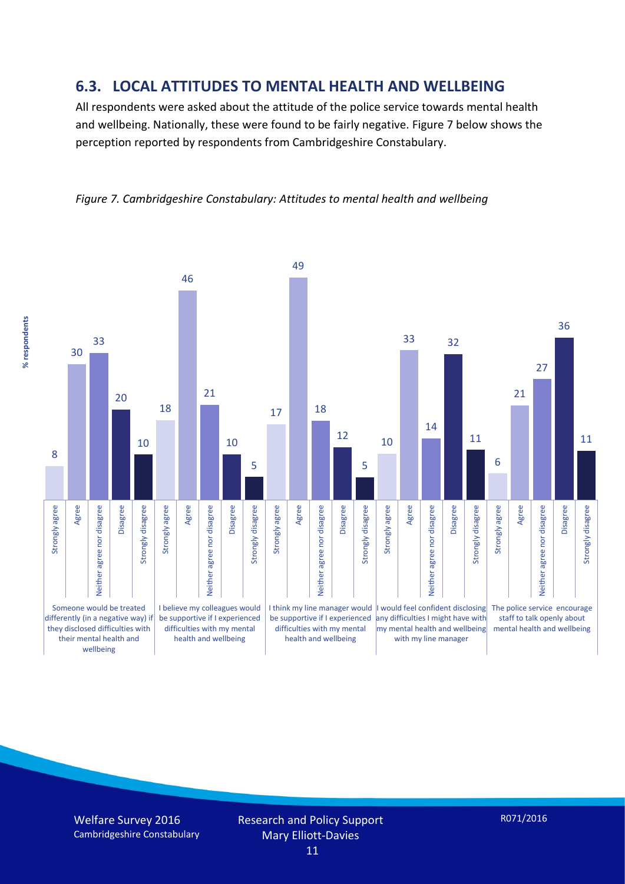#### **6.3. LOCAL ATTITUDES TO MENTAL HEALTH AND WELLBEING**

All respondents were asked about the attitude of the police service towards mental health and wellbeing. Nationally, these were found to be fairly negative. Figure 7 below shows the perception reported by respondents from Cambridgeshire Constabulary.



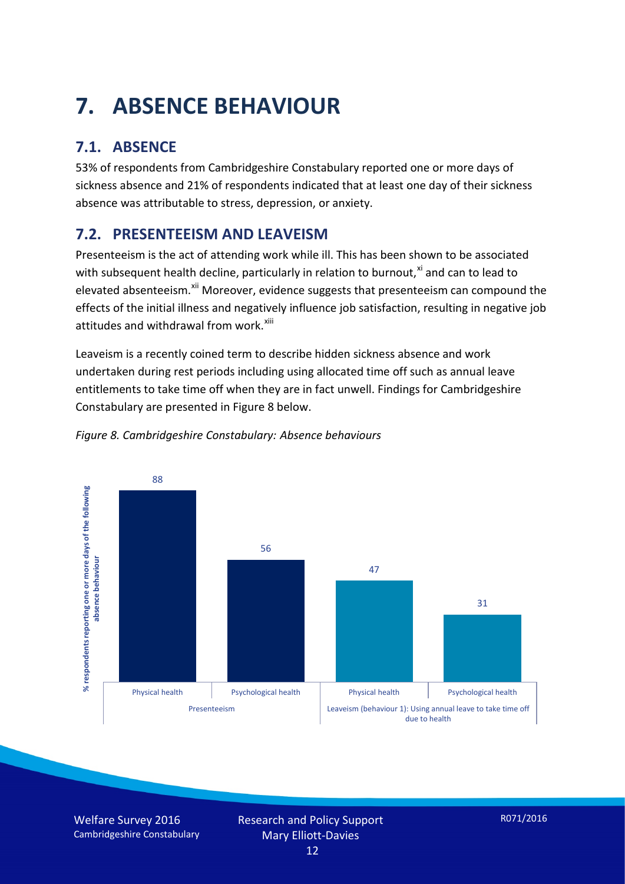# **7. ABSENCE BEHAVIOUR**

## **7.1. ABSENCE**

53% of respondents from Cambridgeshire Constabulary reported one or more days of sickness absence and 21% of respondents indicated that at least one day of their sickness absence was attributable to stress, depression, or anxiety.

### **7.2. PRESENTEEISM AND LEAVEISM**

Presenteeism is the act of attending work while ill. This has been shown to be associated with subsequent health decline, particularly in relation to burnout. $^{x_i}$  and can to lead to elevated absenteeism.<sup>[xii](#page-16-1)</sup> Moreover, evidence suggests that presenteeism can compound the effects of the initial illness and negatively influence job satisfaction, resulting in negative job attitudes and withdrawal from work.<sup>[xiii](#page-16-2)</sup>

Leaveism is a recently coined term to describe hidden sickness absence and work undertaken during rest periods including using allocated time off such as annual leave entitlements to take time off when they are in fact unwell. Findings for Cambridgeshire Constabulary are presented in Figure 8 below.



#### *Figure 8. Cambridgeshire Constabulary: Absence behaviours*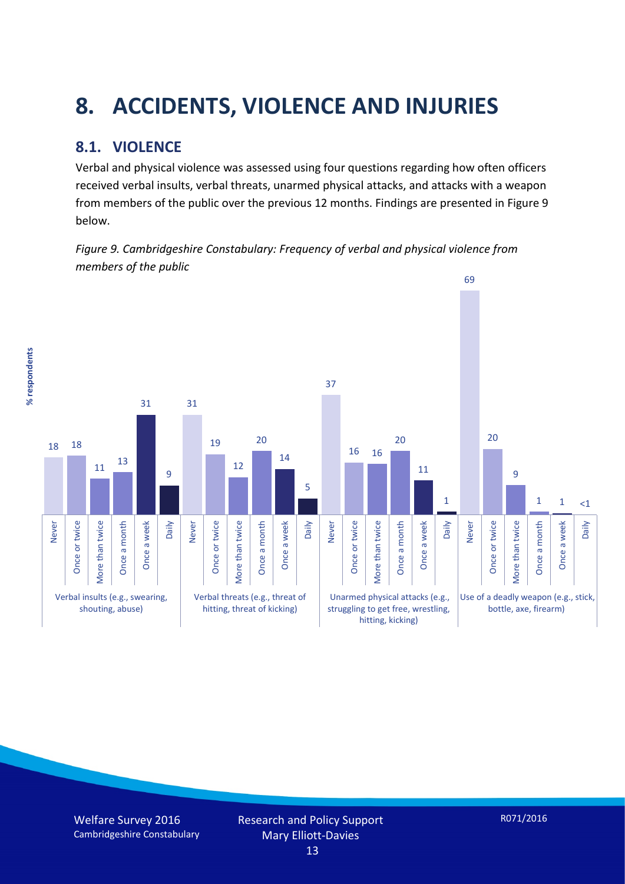# **8. ACCIDENTS, VIOLENCE AND INJURIES**

#### **8.1. VIOLENCE**

% respondents **% respondents** Verbal and physical violence was assessed using four questions regarding how often officers received verbal insults, verbal threats, unarmed physical attacks, and attacks with a weapon from members of the public over the previous 12 months. Findings are presented in Figure 9 below.

*Figure 9. Cambridgeshire Constabulary: Frequency of verbal and physical violence from members of the public*

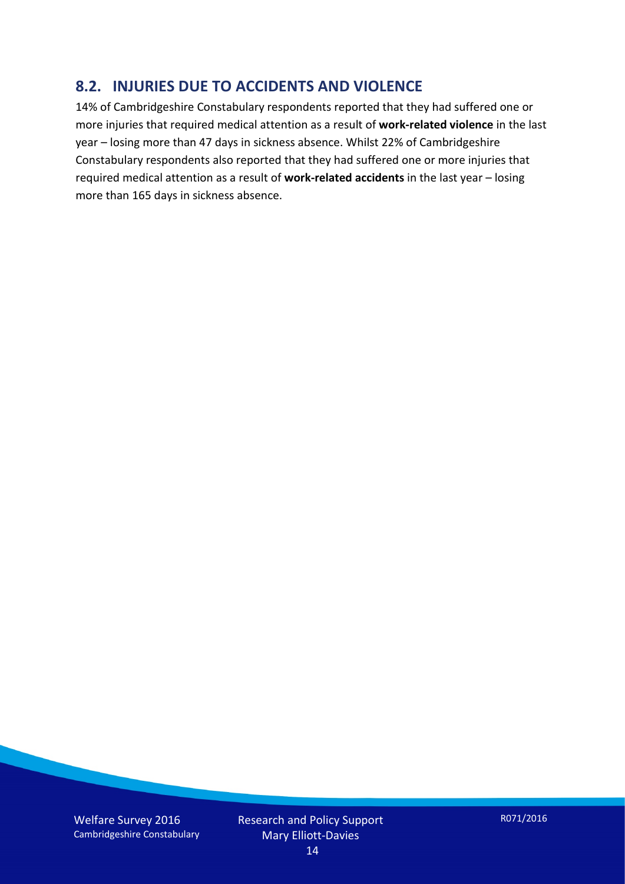#### **8.2. INJURIES DUE TO ACCIDENTS AND VIOLENCE**

14% of Cambridgeshire Constabulary respondents reported that they had suffered one or more injuries that required medical attention as a result of **work-related violence** in the last year – losing more than 47 days in sickness absence. Whilst 22% of Cambridgeshire Constabulary respondents also reported that they had suffered one or more injuries that required medical attention as a result of **work-related accidents** in the last year – losing more than 165 days in sickness absence.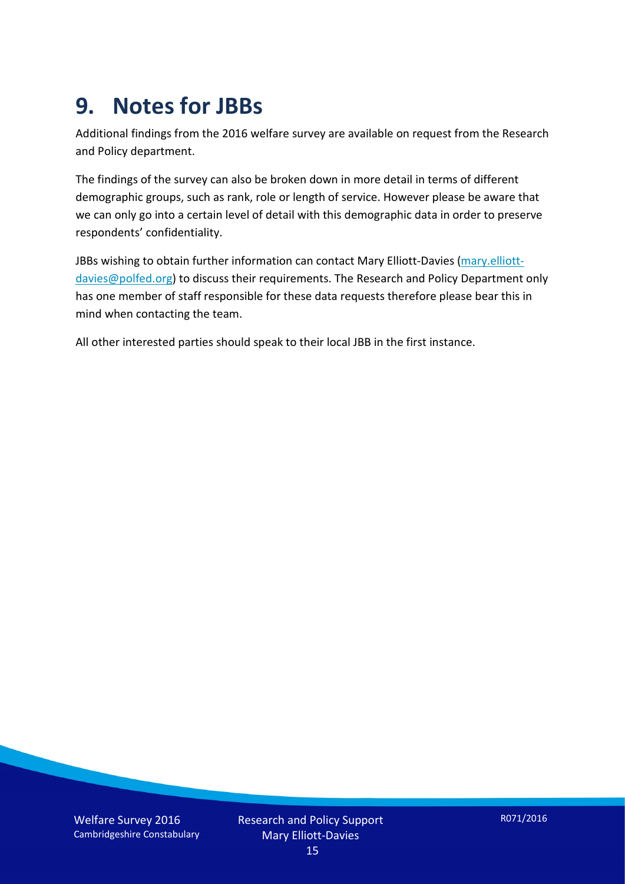## **9. Notes for JBBs**

Additional findings from the 2016 welfare survey are available on request from the Research and Policy department.

The findings of the survey can also be broken down in more detail in terms of different demographic groups, such as rank, role or length of service. However please be aware that we can only go into a certain level of detail with this demographic data in order to preserve respondents' confidentiality.

JBBs wishing to obtain further information can contact Mary Elliott-Davies [\(mary.elliott](mailto:mary.elliott-davies@polfed.org)[davies@polfed.org\)](mailto:mary.elliott-davies@polfed.org) to discuss their requirements. The Research and Policy Department only has one member of staff responsible for these data requests therefore please bear this in mind when contacting the team.

All other interested parties should speak to their local JBB in the first instance.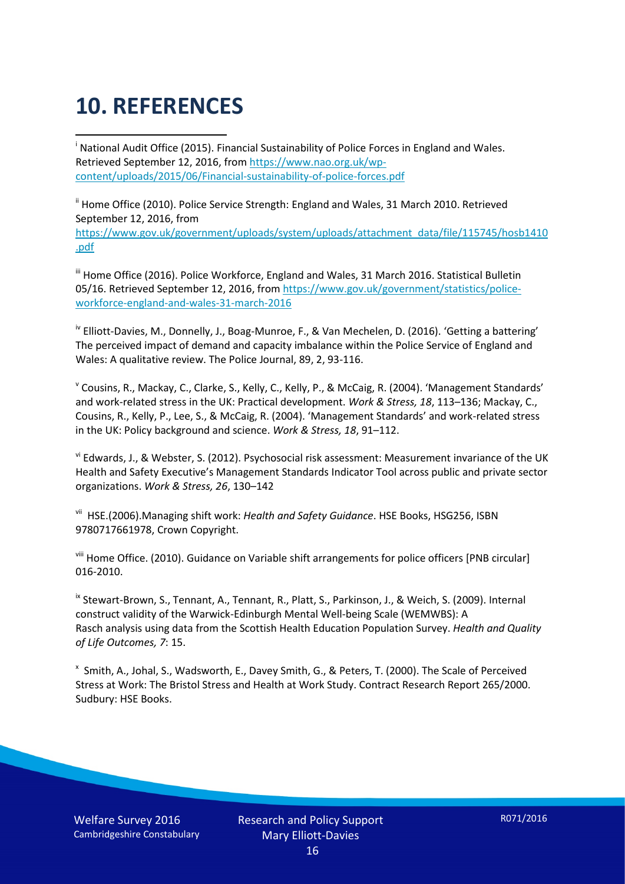# **10. REFERENCES**

<span id="page-15-0"></span>i National Audit Office (2015). Financial Sustainability of Police Forces in England and Wales. Retrieved September 12, 2016, fro[m https://www.nao.org.uk/wp](https://www.nao.org.uk/wp-content/uploads/2015/06/Financial-sustainability-of-police-forces.pdf)[content/uploads/2015/06/Financial-sustainability-of-police-forces.pdf](https://www.nao.org.uk/wp-content/uploads/2015/06/Financial-sustainability-of-police-forces.pdf)

<span id="page-15-1"></span><sup>ii</sup> Home Office (2010). Police Service Strength: England and Wales, 31 March 2010. Retrieved September 12, 2016, from [https://www.gov.uk/government/uploads/system/uploads/attachment\\_data/file/115745/hosb1410](https://www.gov.uk/government/uploads/system/uploads/attachment_data/file/115745/hosb1410.pdf) [.pdf](https://www.gov.uk/government/uploads/system/uploads/attachment_data/file/115745/hosb1410.pdf)

<span id="page-15-2"></span><sup>iii</sup> Home Office (2016). Police Workforce, England and Wales, 31 March 2016. Statistical Bulletin 05/16. Retrieved September 12, 2016, fro[m https://www.gov.uk/government/statistics/police](https://www.gov.uk/government/statistics/police-workforce-england-and-wales-31-march-2016)[workforce-england-and-wales-31-march-2016](https://www.gov.uk/government/statistics/police-workforce-england-and-wales-31-march-2016)

<span id="page-15-3"></span><sup>iv</sup> Elliott-Davies, M., Donnelly, J., Boag-Munroe, F., & Van Mechelen, D. (2016). 'Getting a battering' The perceived impact of demand and capacity imbalance within the Police Service of England and Wales: A qualitative review. The Police Journal, 89, 2, 93-116.

<span id="page-15-4"></span><sup>v</sup> Cousins, R., Mackay, C., Clarke, S., Kelly, C., Kelly, P., & McCaig, R. (2004). 'Management Standards' and work-related stress in the UK: Practical development. *Work & Stress, 18*, 113–136; Mackay, C., Cousins, R., Kelly, P., Lee, S., & McCaig, R. (2004). 'Management Standards' and work-related stress in the UK: Policy background and science. *Work & Stress, 18*, 91–112.

<span id="page-15-5"></span>vi Edwards, J., & Webster, S. (2012). Psychosocial risk assessment: Measurement invariance of the UK Health and Safety Executive's Management Standards Indicator Tool across public and private sector organizations. *Work & Stress, 26*, 130–142

<span id="page-15-6"></span>vii HSE.(2006).Managing shift work: *Health and Safety Guidance*. HSE Books, HSG256, ISBN 9780717661978, Crown Copyright.

<span id="page-15-7"></span>viii Home Office. (2010). Guidance on Variable shift arrangements for police officers [PNB circular] 016-2010.

<span id="page-15-8"></span><sup>ix</sup> Stewart-Brown, S., Tennant, A., Tennant, R., Platt, S., Parkinson, J., & Weich, S. (2009). Internal construct validity of the Warwick-Edinburgh Mental Well-being Scale (WEMWBS): A Rasch analysis using data from the Scottish Health Education Population Survey. *Health and Quality of Life Outcomes, 7*: 15.

<span id="page-15-9"></span>x Smith, A., Johal, S., Wadsworth, E., Davey Smith, G., & Peters, T. (2000). The Scale of Perceived Stress at Work: The Bristol Stress and Health at Work Study. Contract Research Report 265/2000. Sudbury: HSE Books.